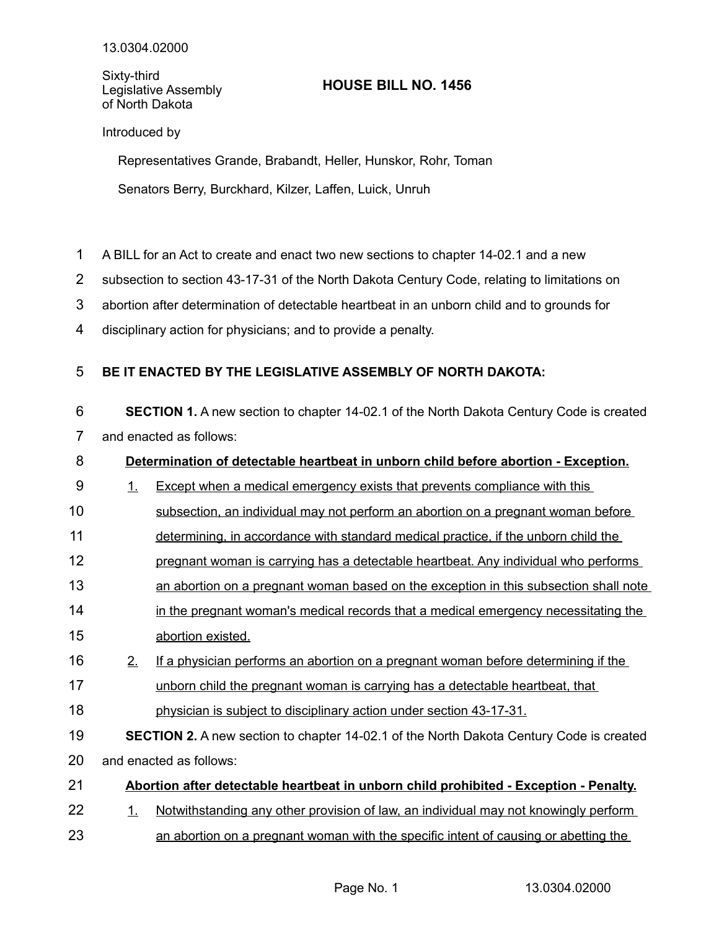Sixty-third Legislative Assembly of North Dakota

## **HOUSE BILL NO. 1456**

## Introduced by

Representatives Grande, Brabandt, Heller, Hunskor, Rohr, Toman Senators Berry, Burckhard, Kilzer, Laffen, Luick, Unruh

- A BILL for an Act to create and enact two new sections to chapter 14-02.1 and a new 1
- subsection to section 43-17-31 of the North Dakota Century Code, relating to limitations on 2
- abortion after determination of detectable heartbeat in an unborn child and to grounds for 3
- disciplinary action for physicians; and to provide a penalty. 4

## **BE IT ENACTED BY THE LEGISLATIVE ASSEMBLY OF NORTH DAKOTA:** 5

**SECTION 1.** A new section to chapter 14-02.1 of the North Dakota Century Code is created and enacted as follows: 6 7

| 8  | Determination of detectable heartbeat in unborn child before abortion - Exception.             |                                                                                       |  |  |
|----|------------------------------------------------------------------------------------------------|---------------------------------------------------------------------------------------|--|--|
| 9  | 1.                                                                                             | <b>Except when a medical emergency exists that prevents compliance with this</b>      |  |  |
| 10 |                                                                                                | subsection, an individual may not perform an abortion on a pregnant woman before      |  |  |
| 11 |                                                                                                | determining, in accordance with standard medical practice, if the unborn child the    |  |  |
| 12 |                                                                                                | pregnant woman is carrying has a detectable heartbeat. Any individual who performs    |  |  |
| 13 |                                                                                                | an abortion on a pregnant woman based on the exception in this subsection shall note  |  |  |
| 14 |                                                                                                | in the pregnant woman's medical records that a medical emergency necessitating the    |  |  |
| 15 |                                                                                                | abortion existed.                                                                     |  |  |
| 16 | 2.                                                                                             | If a physician performs an abortion on a pregnant woman before determining if the     |  |  |
| 17 |                                                                                                | unborn child the pregnant woman is carrying has a detectable heartbeat, that          |  |  |
| 18 |                                                                                                | physician is subject to disciplinary action under section 43-17-31.                   |  |  |
| 19 | <b>SECTION 2.</b> A new section to chapter 14-02.1 of the North Dakota Century Code is created |                                                                                       |  |  |
| 20 | and enacted as follows:                                                                        |                                                                                       |  |  |
| 21 |                                                                                                | Abortion after detectable heartbeat in unborn child prohibited - Exception - Penalty. |  |  |

1. Notwithstanding any other provision of law, an individual may not knowingly perform an abortion on a pregnant woman with the specific intent of causing or abetting the 22 23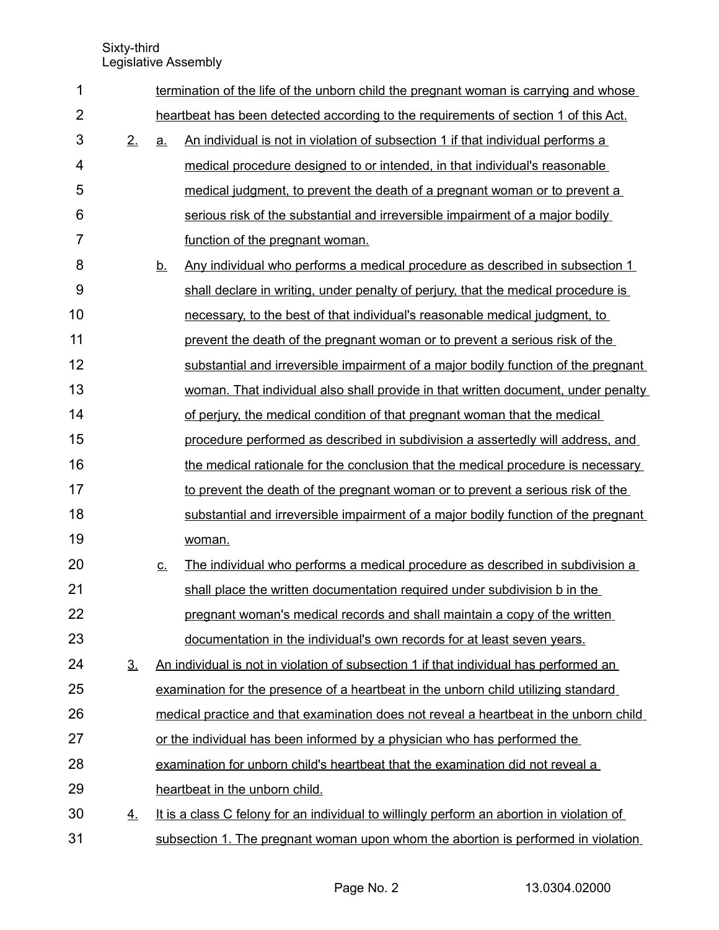Sixty-third Legislative Assembly

| 1              |                   |           | termination of the life of the unborn child the pregnant woman is carrying and whose      |
|----------------|-------------------|-----------|-------------------------------------------------------------------------------------------|
| $\overline{2}$ |                   |           | heartbeat has been detected according to the requirements of section 1 of this Act.       |
| 3              | 2.                | <u>a.</u> | An individual is not in violation of subsection 1 if that individual performs a           |
| 4              |                   |           | medical procedure designed to or intended, in that individual's reasonable                |
| 5              |                   |           | medical judgment, to prevent the death of a pregnant woman or to prevent a                |
| 6              |                   |           | serious risk of the substantial and irreversible impairment of a major bodily             |
| 7              |                   |           | function of the pregnant woman.                                                           |
| 8              |                   | <u>b</u>  | Any individual who performs a medical procedure as described in subsection 1              |
| 9              |                   |           | shall declare in writing, under penalty of perjury, that the medical procedure is         |
| 10             |                   |           | necessary, to the best of that individual's reasonable medical judgment, to               |
| 11             |                   |           | prevent the death of the pregnant woman or to prevent a serious risk of the               |
| 12             |                   |           | substantial and irreversible impairment of a major bodily function of the pregnant        |
| 13             |                   |           | woman. That individual also shall provide in that written document, under penalty         |
| 14             |                   |           | of perjury, the medical condition of that pregnant woman that the medical                 |
| 15             |                   |           | procedure performed as described in subdivision a assertedly will address, and            |
| 16             |                   |           | the medical rationale for the conclusion that the medical procedure is necessary          |
| 17             |                   |           | to prevent the death of the pregnant woman or to prevent a serious risk of the            |
| 18             |                   |           | substantial and irreversible impairment of a major bodily function of the pregnant        |
| 19             |                   |           | woman.                                                                                    |
| 20             |                   | <u>c.</u> | The individual who performs a medical procedure as described in subdivision a             |
| 21             |                   |           | shall place the written documentation required under subdivision b in the                 |
| 22             |                   |           | pregnant woman's medical records and shall maintain a copy of the written                 |
| 23             |                   |           | documentation in the individual's own records for at least seven years.                   |
| 24             | $\underline{3}$ . |           | An individual is not in violation of subsection 1 if that individual has performed an     |
| 25             |                   |           | examination for the presence of a heartbeat in the unborn child utilizing standard        |
| 26             |                   |           | medical practice and that examination does not reveal a heartbeat in the unborn child     |
| 27             |                   |           | or the individual has been informed by a physician who has performed the                  |
| 28             |                   |           | examination for unborn child's heartbeat that the examination did not reveal a            |
| 29             |                   |           | heartbeat in the unborn child.                                                            |
| 30             | $\overline{4}$ .  |           | It is a class C felony for an individual to willingly perform an abortion in violation of |
| 31             |                   |           | subsection 1. The pregnant woman upon whom the abortion is performed in violation         |